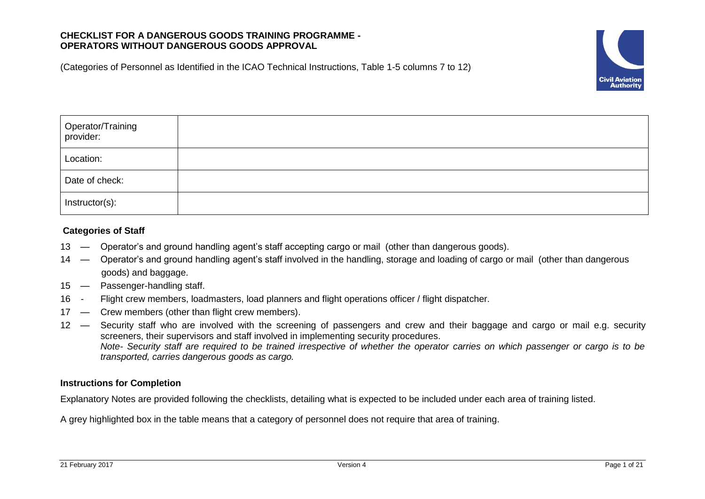# **CHECKLIST FOR A DANGEROUS GOODS TRAINING PROGRAMME - OPERATORS WITHOUT DANGEROUS GOODS APPROVAL**

(Categories of Personnel as Identified in the ICAO Technical Instructions, Table 1-5 columns 7 to 12)



| Operator/Training<br>provider: |  |
|--------------------------------|--|
| Location:                      |  |
| Date of check:                 |  |
| Instructor(s):                 |  |

# **Categories of Staff**

- 13 Operator's and ground handling agent's staff accepting cargo or mail (other than dangerous goods).
- 14 Operator's and ground handling agent's staff involved in the handling, storage and loading of cargo or mail (other than dangerous goods) and baggage.
- 15 Passenger-handling staff.
- 16 Flight crew members, loadmasters, load planners and flight operations officer / flight dispatcher.
- 17 Crew members (other than flight crew members).
- 12 Security staff who are involved with the screening of passengers and crew and their baggage and cargo or mail e.g. security screeners, their supervisors and staff involved in implementing security procedures. *Note- Security staff are required to be trained irrespective of whether the operator carries on which passenger or cargo is to be transported, carries dangerous goods as cargo.*

# **Instructions for Completion**

Explanatory Notes are provided following the checklists, detailing what is expected to be included under each area of training listed.

A grey highlighted box in the table means that a category of personnel does not require that area of training.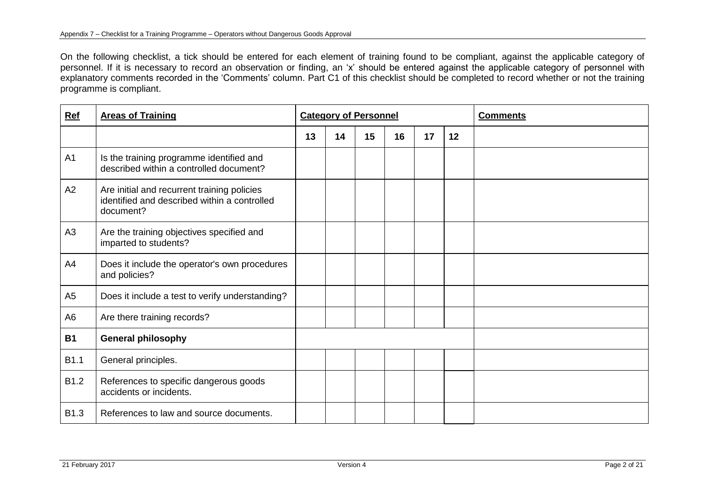On the following checklist, a tick should be entered for each element of training found to be compliant, against the applicable category of personnel. If it is necessary to record an observation or finding, an 'x' should be entered against the applicable category of personnel with explanatory comments recorded in the 'Comments' column. Part C1 of this checklist should be completed to record whether or not the training programme is compliant.

| Ref            | <b>Areas of Training</b>                                                                                 | <b>Category of Personnel</b> |    |    |    |    |    | <b>Comments</b> |
|----------------|----------------------------------------------------------------------------------------------------------|------------------------------|----|----|----|----|----|-----------------|
|                |                                                                                                          | 13                           | 14 | 15 | 16 | 17 | 12 |                 |
| A <sub>1</sub> | Is the training programme identified and<br>described within a controlled document?                      |                              |    |    |    |    |    |                 |
| A2             | Are initial and recurrent training policies<br>identified and described within a controlled<br>document? |                              |    |    |    |    |    |                 |
| A3             | Are the training objectives specified and<br>imparted to students?                                       |                              |    |    |    |    |    |                 |
| A4             | Does it include the operator's own procedures<br>and policies?                                           |                              |    |    |    |    |    |                 |
| A <sub>5</sub> | Does it include a test to verify understanding?                                                          |                              |    |    |    |    |    |                 |
| A <sub>6</sub> | Are there training records?                                                                              |                              |    |    |    |    |    |                 |
| <b>B1</b>      | <b>General philosophy</b>                                                                                |                              |    |    |    |    |    |                 |
| B1.1           | General principles.                                                                                      |                              |    |    |    |    |    |                 |
| B1.2           | References to specific dangerous goods<br>accidents or incidents.                                        |                              |    |    |    |    |    |                 |
| B1.3           | References to law and source documents.                                                                  |                              |    |    |    |    |    |                 |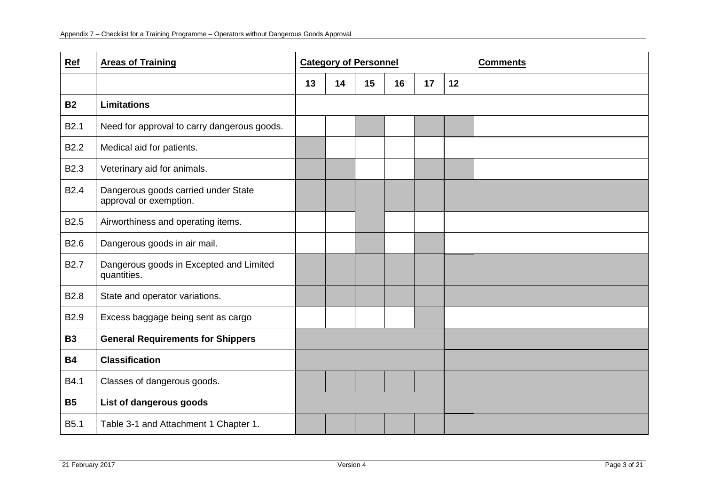| Ref              | <b>Areas of Training</b>                                      | <b>Category of Personnel</b> |    |    |    |    | <b>Comments</b> |  |
|------------------|---------------------------------------------------------------|------------------------------|----|----|----|----|-----------------|--|
|                  |                                                               | 13                           | 14 | 15 | 16 | 17 | 12              |  |
| <b>B2</b>        | <b>Limitations</b>                                            |                              |    |    |    |    |                 |  |
| <b>B2.1</b>      | Need for approval to carry dangerous goods.                   |                              |    |    |    |    |                 |  |
| <b>B2.2</b>      | Medical aid for patients.                                     |                              |    |    |    |    |                 |  |
| <b>B2.3</b>      | Veterinary aid for animals.                                   |                              |    |    |    |    |                 |  |
| <b>B2.4</b>      | Dangerous goods carried under State<br>approval or exemption. |                              |    |    |    |    |                 |  |
| B <sub>2.5</sub> | Airworthiness and operating items.                            |                              |    |    |    |    |                 |  |
| B <sub>2.6</sub> | Dangerous goods in air mail.                                  |                              |    |    |    |    |                 |  |
| <b>B2.7</b>      | Dangerous goods in Excepted and Limited<br>quantities.        |                              |    |    |    |    |                 |  |
| <b>B2.8</b>      | State and operator variations.                                |                              |    |    |    |    |                 |  |
| <b>B2.9</b>      | Excess baggage being sent as cargo                            |                              |    |    |    |    |                 |  |
| <b>B3</b>        | <b>General Requirements for Shippers</b>                      |                              |    |    |    |    |                 |  |
| <b>B4</b>        | <b>Classification</b>                                         |                              |    |    |    |    |                 |  |
| B4.1             | Classes of dangerous goods.                                   |                              |    |    |    |    |                 |  |
| <b>B5</b>        | List of dangerous goods                                       |                              |    |    |    |    |                 |  |
| <b>B5.1</b>      | Table 3-1 and Attachment 1 Chapter 1.                         |                              |    |    |    |    |                 |  |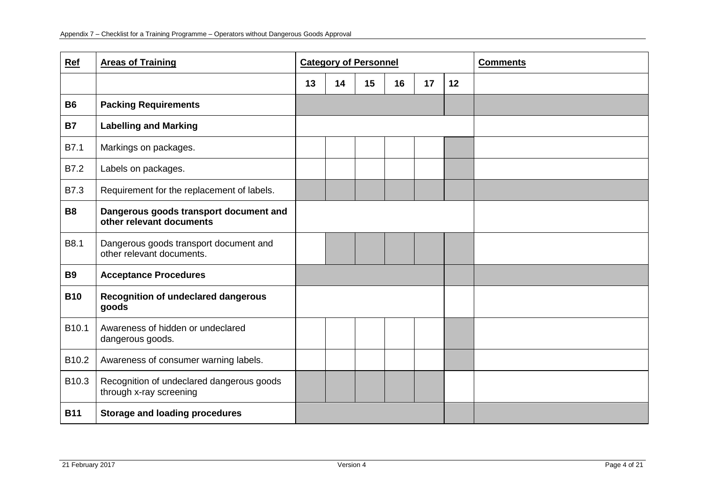| Ref               | <b>Areas of Training</b>                                             | <b>Category of Personnel</b> |    |    |    |    | <b>Comments</b> |  |
|-------------------|----------------------------------------------------------------------|------------------------------|----|----|----|----|-----------------|--|
|                   |                                                                      | 13                           | 14 | 15 | 16 | 17 | 12              |  |
| <b>B6</b>         | <b>Packing Requirements</b>                                          |                              |    |    |    |    |                 |  |
| <b>B7</b>         | <b>Labelling and Marking</b>                                         |                              |    |    |    |    |                 |  |
| B7.1              | Markings on packages.                                                |                              |    |    |    |    |                 |  |
| B7.2              | Labels on packages.                                                  |                              |    |    |    |    |                 |  |
| <b>B7.3</b>       | Requirement for the replacement of labels.                           |                              |    |    |    |    |                 |  |
| <b>B8</b>         | Dangerous goods transport document and<br>other relevant documents   |                              |    |    |    |    |                 |  |
| B8.1              | Dangerous goods transport document and<br>other relevant documents.  |                              |    |    |    |    |                 |  |
| <b>B9</b>         | <b>Acceptance Procedures</b>                                         |                              |    |    |    |    |                 |  |
| <b>B10</b>        | <b>Recognition of undeclared dangerous</b><br>goods                  |                              |    |    |    |    |                 |  |
| B <sub>10.1</sub> | Awareness of hidden or undeclared<br>dangerous goods.                |                              |    |    |    |    |                 |  |
| B10.2             | Awareness of consumer warning labels.                                |                              |    |    |    |    |                 |  |
| B10.3             | Recognition of undeclared dangerous goods<br>through x-ray screening |                              |    |    |    |    |                 |  |
| <b>B11</b>        | <b>Storage and loading procedures</b>                                |                              |    |    |    |    |                 |  |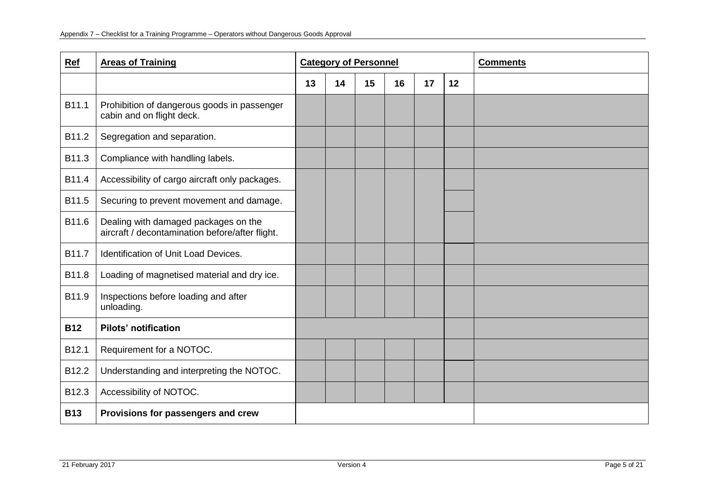| Ref        | <b>Areas of Training</b>                                                                |    | <b>Category of Personnel</b> |    |    |    | <b>Comments</b> |  |
|------------|-----------------------------------------------------------------------------------------|----|------------------------------|----|----|----|-----------------|--|
|            |                                                                                         | 13 | 14                           | 15 | 16 | 17 | 12              |  |
| B11.1      | Prohibition of dangerous goods in passenger<br>cabin and on flight deck.                |    |                              |    |    |    |                 |  |
| B11.2      | Segregation and separation.                                                             |    |                              |    |    |    |                 |  |
| B11.3      | Compliance with handling labels.                                                        |    |                              |    |    |    |                 |  |
| B11.4      | Accessibility of cargo aircraft only packages.                                          |    |                              |    |    |    |                 |  |
| B11.5      | Securing to prevent movement and damage.                                                |    |                              |    |    |    |                 |  |
| B11.6      | Dealing with damaged packages on the<br>aircraft / decontamination before/after flight. |    |                              |    |    |    |                 |  |
| B11.7      | <b>Identification of Unit Load Devices.</b>                                             |    |                              |    |    |    |                 |  |
| B11.8      | Loading of magnetised material and dry ice.                                             |    |                              |    |    |    |                 |  |
| B11.9      | Inspections before loading and after<br>unloading.                                      |    |                              |    |    |    |                 |  |
| <b>B12</b> | <b>Pilots' notification</b>                                                             |    |                              |    |    |    |                 |  |
| B12.1      | Requirement for a NOTOC.                                                                |    |                              |    |    |    |                 |  |
| B12.2      | Understanding and interpreting the NOTOC.                                               |    |                              |    |    |    |                 |  |
| B12.3      | Accessibility of NOTOC.                                                                 |    |                              |    |    |    |                 |  |
| <b>B13</b> | Provisions for passengers and crew                                                      |    |                              |    |    |    |                 |  |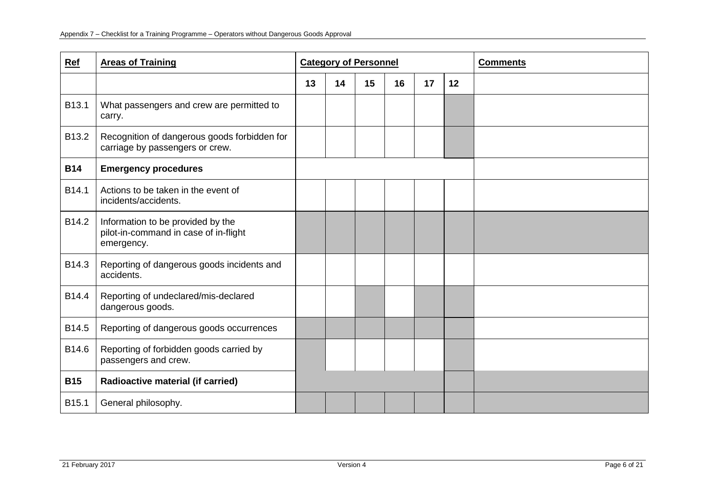| <b>Ref</b> | <b>Areas of Training</b>                                                                 | <b>Category of Personnel</b> |    |    |    |    | <b>Comments</b> |  |
|------------|------------------------------------------------------------------------------------------|------------------------------|----|----|----|----|-----------------|--|
|            |                                                                                          | 13                           | 14 | 15 | 16 | 17 | 12              |  |
| B13.1      | What passengers and crew are permitted to<br>carry.                                      |                              |    |    |    |    |                 |  |
| B13.2      | Recognition of dangerous goods forbidden for<br>carriage by passengers or crew.          |                              |    |    |    |    |                 |  |
| <b>B14</b> | <b>Emergency procedures</b>                                                              |                              |    |    |    |    |                 |  |
| B14.1      | Actions to be taken in the event of<br>incidents/accidents.                              |                              |    |    |    |    |                 |  |
| B14.2      | Information to be provided by the<br>pilot-in-command in case of in-flight<br>emergency. |                              |    |    |    |    |                 |  |
| B14.3      | Reporting of dangerous goods incidents and<br>accidents.                                 |                              |    |    |    |    |                 |  |
| B14.4      | Reporting of undeclared/mis-declared<br>dangerous goods.                                 |                              |    |    |    |    |                 |  |
| B14.5      | Reporting of dangerous goods occurrences                                                 |                              |    |    |    |    |                 |  |
| B14.6      | Reporting of forbidden goods carried by<br>passengers and crew.                          |                              |    |    |    |    |                 |  |
| <b>B15</b> | Radioactive material (if carried)                                                        |                              |    |    |    |    |                 |  |
| B15.1      | General philosophy.                                                                      |                              |    |    |    |    |                 |  |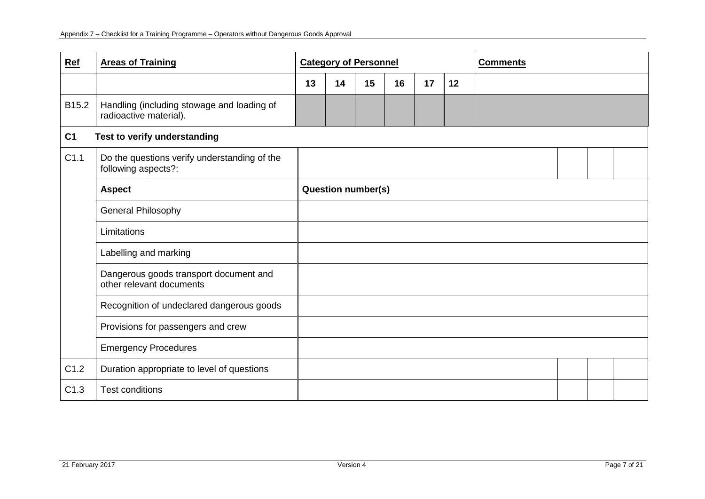| Ref            | <b>Areas of Training</b>                                             | <b>Category of Personnel</b> |    |    |    |    |    | <b>Comments</b> |  |  |
|----------------|----------------------------------------------------------------------|------------------------------|----|----|----|----|----|-----------------|--|--|
|                |                                                                      | 13                           | 14 | 15 | 16 | 17 | 12 |                 |  |  |
| B15.2          | Handling (including stowage and loading of<br>radioactive material). |                              |    |    |    |    |    |                 |  |  |
| C <sub>1</sub> | Test to verify understanding                                         |                              |    |    |    |    |    |                 |  |  |
| C1.1           | Do the questions verify understanding of the<br>following aspects?:  |                              |    |    |    |    |    |                 |  |  |
|                | <b>Aspect</b>                                                        | <b>Question number(s)</b>    |    |    |    |    |    |                 |  |  |
|                | General Philosophy                                                   |                              |    |    |    |    |    |                 |  |  |
|                | Limitations                                                          |                              |    |    |    |    |    |                 |  |  |
|                | Labelling and marking                                                |                              |    |    |    |    |    |                 |  |  |
|                | Dangerous goods transport document and<br>other relevant documents   |                              |    |    |    |    |    |                 |  |  |
|                | Recognition of undeclared dangerous goods                            |                              |    |    |    |    |    |                 |  |  |
|                | Provisions for passengers and crew                                   |                              |    |    |    |    |    |                 |  |  |
|                | <b>Emergency Procedures</b>                                          |                              |    |    |    |    |    |                 |  |  |
| C1.2           | Duration appropriate to level of questions                           |                              |    |    |    |    |    |                 |  |  |
| C1.3           | <b>Test conditions</b>                                               |                              |    |    |    |    |    |                 |  |  |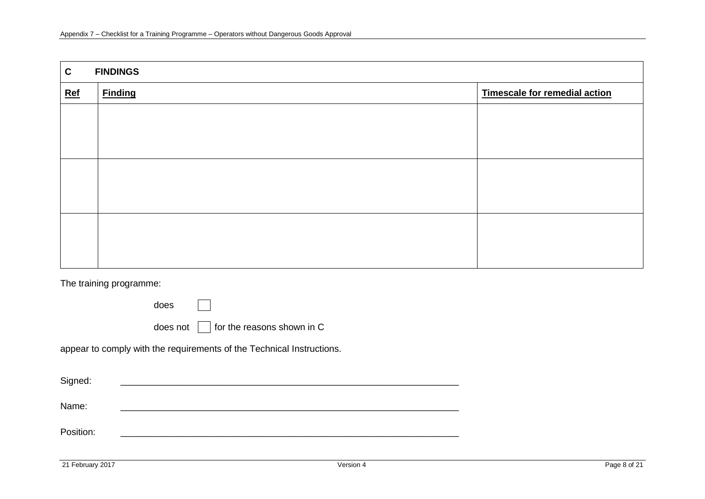| $\mathbf{C}$ | <b>FINDINGS</b> |                               |  |  |  |  |  |  |  |  |
|--------------|-----------------|-------------------------------|--|--|--|--|--|--|--|--|
| $Ref$        | <b>Finding</b>  | Timescale for remedial action |  |  |  |  |  |  |  |  |
|              |                 |                               |  |  |  |  |  |  |  |  |
|              |                 |                               |  |  |  |  |  |  |  |  |
|              |                 |                               |  |  |  |  |  |  |  |  |
|              |                 |                               |  |  |  |  |  |  |  |  |
|              |                 |                               |  |  |  |  |  |  |  |  |
|              |                 |                               |  |  |  |  |  |  |  |  |
|              |                 |                               |  |  |  |  |  |  |  |  |
|              |                 |                               |  |  |  |  |  |  |  |  |
|              |                 |                               |  |  |  |  |  |  |  |  |

The training programme:

does does not  $\Box$  for the reasons shown in C

appear to comply with the requirements of the Technical Instructions.

| Signed:   |  |
|-----------|--|
| Name:     |  |
| Position: |  |
|           |  |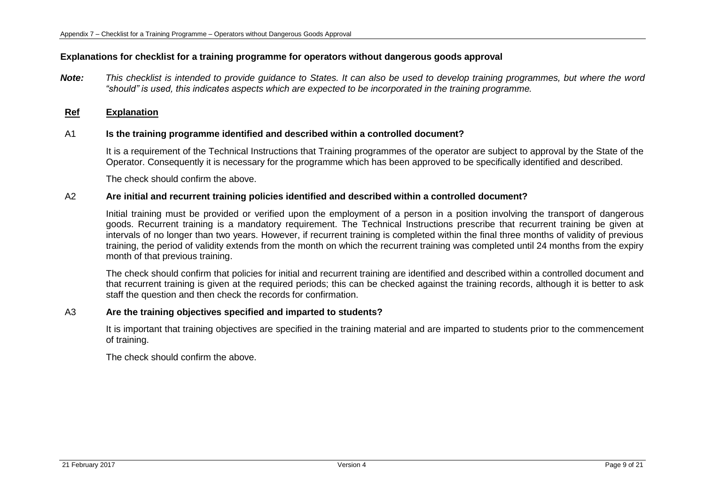## **Explanations for checklist for a training programme for operators without dangerous goods approval**

*Note: This checklist is intended to provide guidance to States. It can also be used to develop training programmes, but where the word "should" is used, this indicates aspects which are expected to be incorporated in the training programme.*

## **Ref Explanation**

### A1 **Is the training programme identified and described within a controlled document?**

It is a requirement of the Technical Instructions that Training programmes of the operator are subject to approval by the State of the Operator. Consequently it is necessary for the programme which has been approved to be specifically identified and described.

The check should confirm the above.

### A2 **Are initial and recurrent training policies identified and described within a controlled document?**

Initial training must be provided or verified upon the employment of a person in a position involving the transport of dangerous goods. Recurrent training is a mandatory requirement. The Technical Instructions prescribe that recurrent training be given at intervals of no longer than two years. However, if recurrent training is completed within the final three months of validity of previous training, the period of validity extends from the month on which the recurrent training was completed until 24 months from the expiry month of that previous training.

The check should confirm that policies for initial and recurrent training are identified and described within a controlled document and that recurrent training is given at the required periods; this can be checked against the training records, although it is better to ask staff the question and then check the records for confirmation.

## A3 **Are the training objectives specified and imparted to students?**

It is important that training objectives are specified in the training material and are imparted to students prior to the commencement of training.

The check should confirm the above.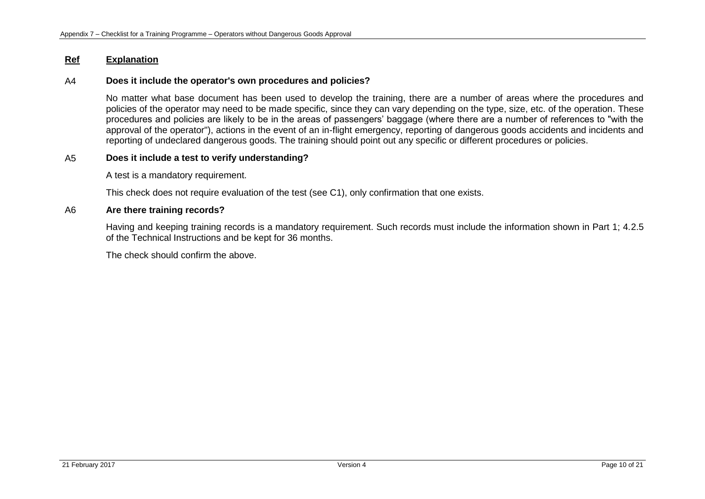### A4 **Does it include the operator's own procedures and policies?**

No matter what base document has been used to develop the training, there are a number of areas where the procedures and policies of the operator may need to be made specific, since they can vary depending on the type, size, etc. of the operation. These procedures and policies are likely to be in the areas of passengers' baggage (where there are a number of references to "with the approval of the operator"), actions in the event of an in-flight emergency, reporting of dangerous goods accidents and incidents and reporting of undeclared dangerous goods. The training should point out any specific or different procedures or policies.

# A5 **Does it include a test to verify understanding?**

A test is a mandatory requirement.

This check does not require evaluation of the test (see C1), only confirmation that one exists.

### A6 **Are there training records?**

Having and keeping training records is a mandatory requirement. Such records must include the information shown in Part 1; 4.2.5 of the Technical Instructions and be kept for 36 months.

The check should confirm the above.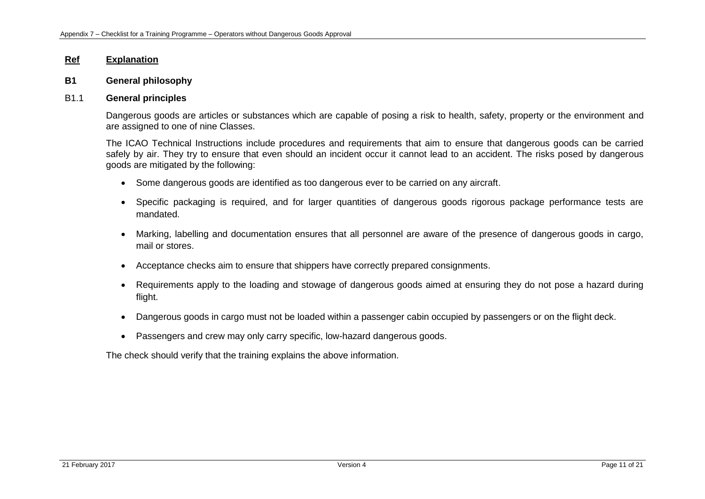### **B1 General philosophy**

### B1.1 **General principles**

Dangerous goods are articles or substances which are capable of posing a risk to health, safety, property or the environment and are assigned to one of nine Classes.

The ICAO Technical Instructions include procedures and requirements that aim to ensure that dangerous goods can be carried safely by air. They try to ensure that even should an incident occur it cannot lead to an accident. The risks posed by dangerous goods are mitigated by the following:

- Some dangerous goods are identified as too dangerous ever to be carried on any aircraft.
- Specific packaging is required, and for larger quantities of dangerous goods rigorous package performance tests are mandated.
- Marking, labelling and documentation ensures that all personnel are aware of the presence of dangerous goods in cargo, mail or stores.
- Acceptance checks aim to ensure that shippers have correctly prepared consignments.
- Requirements apply to the loading and stowage of dangerous goods aimed at ensuring they do not pose a hazard during flight.
- Dangerous goods in cargo must not be loaded within a passenger cabin occupied by passengers or on the flight deck.
- Passengers and crew may only carry specific, low-hazard dangerous goods.

The check should verify that the training explains the above information.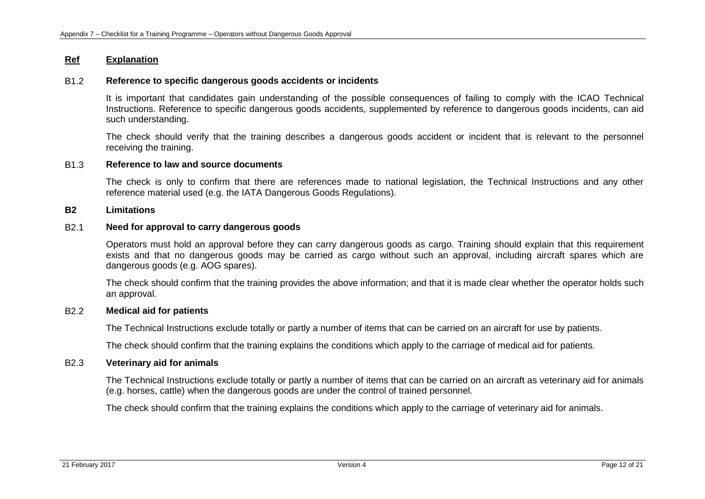## B1.2 **Reference to specific dangerous goods accidents or incidents**

It is important that candidates gain understanding of the possible consequences of failing to comply with the ICAO Technical Instructions. Reference to specific dangerous goods accidents, supplemented by reference to dangerous goods incidents, can aid such understanding.

The check should verify that the training describes a dangerous goods accident or incident that is relevant to the personnel receiving the training.

### B1.3 **Reference to law and source documents**

The check is only to confirm that there are references made to national legislation, the Technical Instructions and any other reference material used (e.g. the IATA Dangerous Goods Regulations).

### **B2 Limitations**

## B2.1 **Need for approval to carry dangerous goods**

Operators must hold an approval before they can carry dangerous goods as cargo. Training should explain that this requirement exists and that no dangerous goods may be carried as cargo without such an approval, including aircraft spares which are dangerous goods (e.g. AOG spares).

The check should confirm that the training provides the above information; and that it is made clear whether the operator holds such an approval.

### B2.2 **Medical aid for patients**

The Technical Instructions exclude totally or partly a number of items that can be carried on an aircraft for use by patients.

The check should confirm that the training explains the conditions which apply to the carriage of medical aid for patients.

#### B2.3 **Veterinary aid for animals**

The Technical Instructions exclude totally or partly a number of items that can be carried on an aircraft as veterinary aid for animals (e.g. horses, cattle) when the dangerous goods are under the control of trained personnel.

The check should confirm that the training explains the conditions which apply to the carriage of veterinary aid for animals.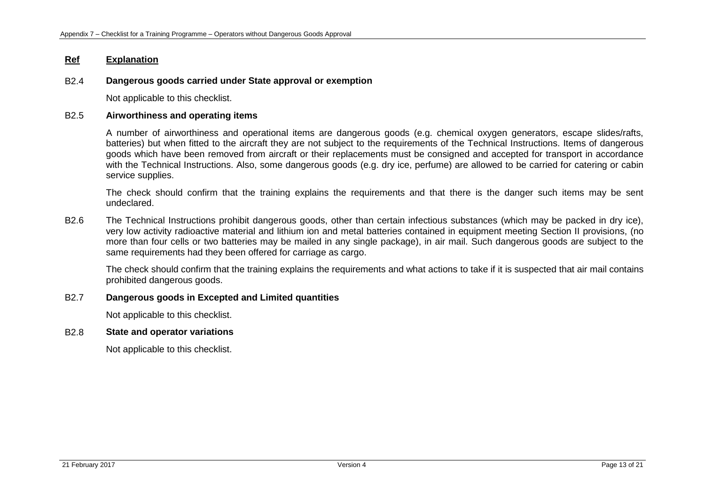## B2.4 **Dangerous goods carried under State approval or exemption**

Not applicable to this checklist.

# B2.5 **Airworthiness and operating items**

A number of airworthiness and operational items are dangerous goods (e.g. chemical oxygen generators, escape slides/rafts, batteries) but when fitted to the aircraft they are not subject to the requirements of the Technical Instructions. Items of dangerous goods which have been removed from aircraft or their replacements must be consigned and accepted for transport in accordance with the Technical Instructions. Also, some dangerous goods (e.g. dry ice, perfume) are allowed to be carried for catering or cabin service supplies.

The check should confirm that the training explains the requirements and that there is the danger such items may be sent undeclared.

B2.6 The Technical Instructions prohibit dangerous goods, other than certain infectious substances (which may be packed in dry ice), very low activity radioactive material and lithium ion and metal batteries contained in equipment meeting Section II provisions, (no more than four cells or two batteries may be mailed in any single package), in air mail. Such dangerous goods are subject to the same requirements had they been offered for carriage as cargo.

The check should confirm that the training explains the requirements and what actions to take if it is suspected that air mail contains prohibited dangerous goods.

## B2.7 **Dangerous goods in Excepted and Limited quantities**

Not applicable to this checklist.

### B2.8 **State and operator variations**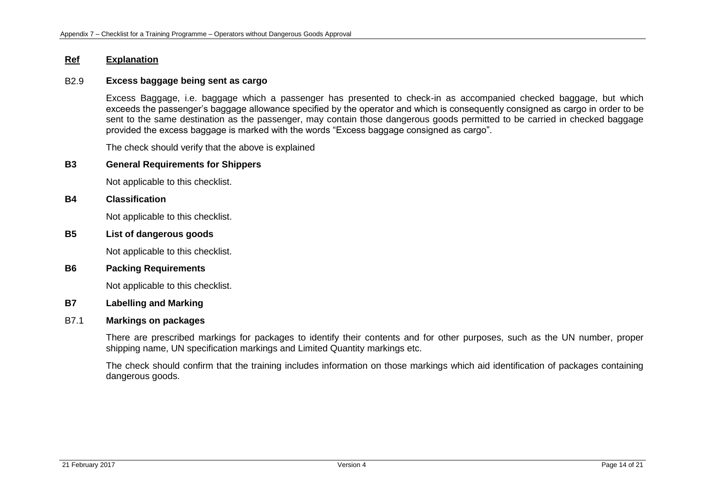### B2.9 **Excess baggage being sent as cargo**

Excess Baggage, i.e. baggage which a passenger has presented to check-in as accompanied checked baggage, but which exceeds the passenger's baggage allowance specified by the operator and which is consequently consigned as cargo in order to be sent to the same destination as the passenger, may contain those dangerous goods permitted to be carried in checked baggage provided the excess baggage is marked with the words "Excess baggage consigned as cargo".

The check should verify that the above is explained

#### **B3 General Requirements for Shippers**

Not applicable to this checklist.

#### **B4 Classification**

Not applicable to this checklist.

# **B5 List of dangerous goods**

Not applicable to this checklist.

### **B6 Packing Requirements**

Not applicable to this checklist.

### **B7 Labelling and Marking**

## B7.1 **Markings on packages**

There are prescribed markings for packages to identify their contents and for other purposes, such as the UN number, proper shipping name, UN specification markings and Limited Quantity markings etc.

The check should confirm that the training includes information on those markings which aid identification of packages containing dangerous goods.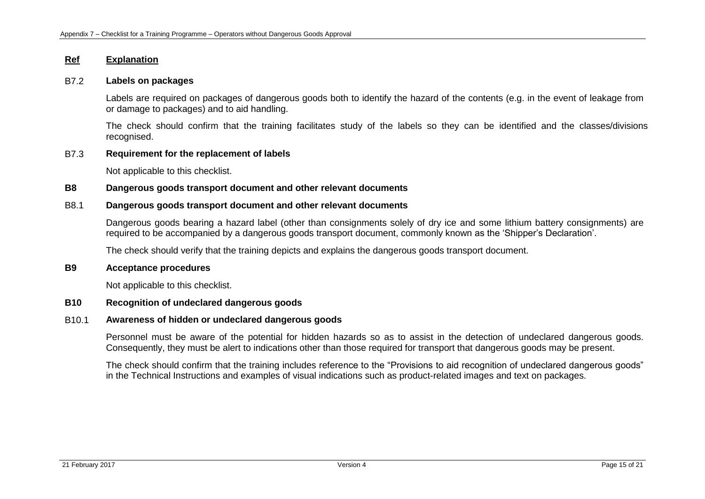### B7.2 **Labels on packages**

Labels are required on packages of dangerous goods both to identify the hazard of the contents (e.g. in the event of leakage from or damage to packages) and to aid handling.

The check should confirm that the training facilitates study of the labels so they can be identified and the classes/divisions recognised.

# B7.3 **Requirement for the replacement of labels**

Not applicable to this checklist.

### **B8 Dangerous goods transport document and other relevant documents**

## B8.1 **Dangerous goods transport document and other relevant documents**

Dangerous goods bearing a hazard label (other than consignments solely of dry ice and some lithium battery consignments) are required to be accompanied by a dangerous goods transport document, commonly known as the 'Shipper's Declaration'.

The check should verify that the training depicts and explains the dangerous goods transport document.

### **B9 Acceptance procedures**

Not applicable to this checklist.

### **B10 Recognition of undeclared dangerous goods**

### B10.1 **Awareness of hidden or undeclared dangerous goods**

Personnel must be aware of the potential for hidden hazards so as to assist in the detection of undeclared dangerous goods. Consequently, they must be alert to indications other than those required for transport that dangerous goods may be present.

The check should confirm that the training includes reference to the "Provisions to aid recognition of undeclared dangerous goods" in the Technical Instructions and examples of visual indications such as product-related images and text on packages.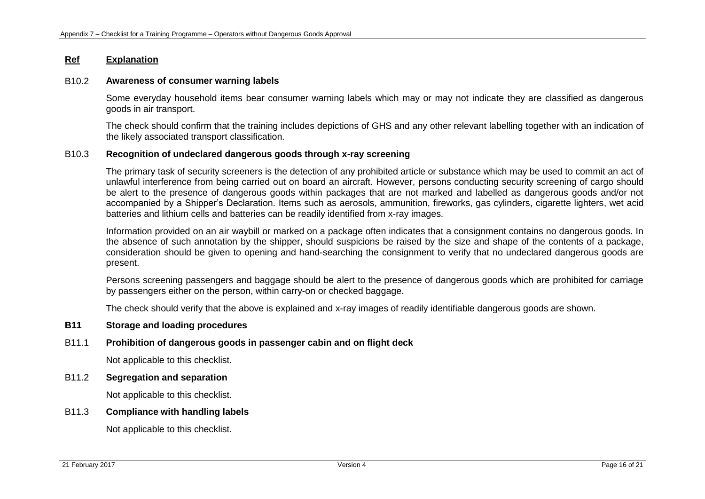### B10.2 **Awareness of consumer warning labels**

Some everyday household items bear consumer warning labels which may or may not indicate they are classified as dangerous goods in air transport.

The check should confirm that the training includes depictions of GHS and any other relevant labelling together with an indication of the likely associated transport classification.

## B10.3 **Recognition of undeclared dangerous goods through x-ray screening**

The primary task of security screeners is the detection of any prohibited article or substance which may be used to commit an act of unlawful interference from being carried out on board an aircraft. However, persons conducting security screening of cargo should be alert to the presence of dangerous goods within packages that are not marked and labelled as dangerous goods and/or not accompanied by a Shipper's Declaration. Items such as aerosols, ammunition, fireworks, gas cylinders, cigarette lighters, wet acid batteries and lithium cells and batteries can be readily identified from x-ray images.

Information provided on an air waybill or marked on a package often indicates that a consignment contains no dangerous goods. In the absence of such annotation by the shipper, should suspicions be raised by the size and shape of the contents of a package, consideration should be given to opening and hand-searching the consignment to verify that no undeclared dangerous goods are present.

Persons screening passengers and baggage should be alert to the presence of dangerous goods which are prohibited for carriage by passengers either on the person, within carry-on or checked baggage.

The check should verify that the above is explained and x-ray images of readily identifiable dangerous goods are shown.

## **B11 Storage and loading procedures**

## B11.1 **Prohibition of dangerous goods in passenger cabin and on flight deck**

Not applicable to this checklist.

## B11.2 **Segregation and separation**

Not applicable to this checklist.

## B11.3 **Compliance with handling labels**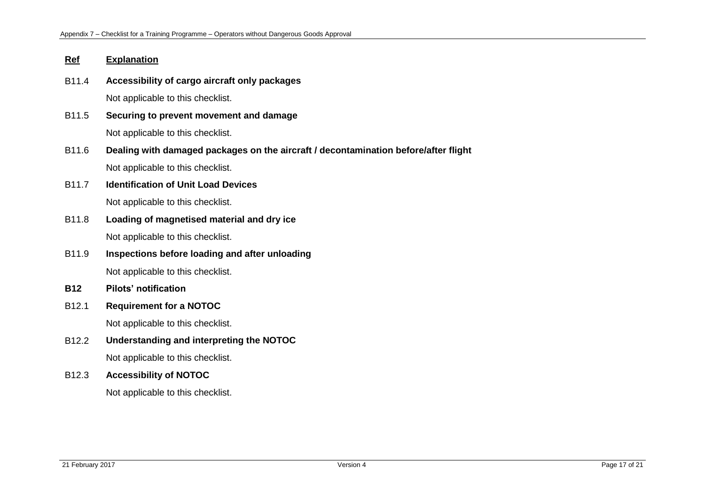- B11.4 **Accessibility of cargo aircraft only packages** Not applicable to this checklist.
- B11.5 **Securing to prevent movement and damage** Not applicable to this checklist.
- B11.6 **Dealing with damaged packages on the aircraft / decontamination before/after flight**  Not applicable to this checklist.
- B11.7 **Identification of Unit Load Devices** Not applicable to this checklist.
- B11.8 **Loading of magnetised material and dry ice** Not applicable to this checklist.
- B11.9 **Inspections before loading and after unloading** Not applicable to this checklist.
- **B12 Pilots' notification**
- B12.1 **Requirement for a NOTOC**

Not applicable to this checklist.

B12.2 **Understanding and interpreting the NOTOC**

Not applicable to this checklist.

# B12.3 **Accessibility of NOTOC**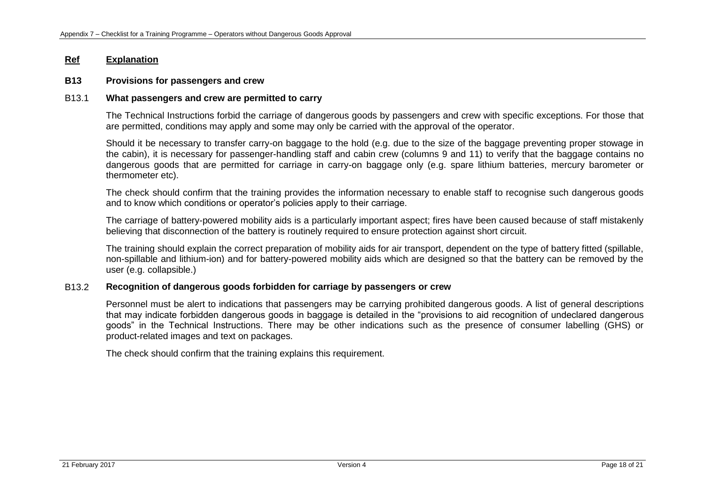#### **B13 Provisions for passengers and crew**

#### B13.1 **What passengers and crew are permitted to carry**

The Technical Instructions forbid the carriage of dangerous goods by passengers and crew with specific exceptions. For those that are permitted, conditions may apply and some may only be carried with the approval of the operator.

Should it be necessary to transfer carry-on baggage to the hold (e.g. due to the size of the baggage preventing proper stowage in the cabin), it is necessary for passenger-handling staff and cabin crew (columns 9 and 11) to verify that the baggage contains no dangerous goods that are permitted for carriage in carry-on baggage only (e.g. spare lithium batteries, mercury barometer or thermometer etc).

The check should confirm that the training provides the information necessary to enable staff to recognise such dangerous goods and to know which conditions or operator's policies apply to their carriage.

The carriage of battery-powered mobility aids is a particularly important aspect; fires have been caused because of staff mistakenly believing that disconnection of the battery is routinely required to ensure protection against short circuit.

The training should explain the correct preparation of mobility aids for air transport, dependent on the type of battery fitted (spillable, non-spillable and lithium-ion) and for battery-powered mobility aids which are designed so that the battery can be removed by the user (e.g. collapsible.)

## B13.2 **Recognition of dangerous goods forbidden for carriage by passengers or crew**

Personnel must be alert to indications that passengers may be carrying prohibited dangerous goods. A list of general descriptions that may indicate forbidden dangerous goods in baggage is detailed in the "provisions to aid recognition of undeclared dangerous goods" in the Technical Instructions. There may be other indications such as the presence of consumer labelling (GHS) or product-related images and text on packages.

The check should confirm that the training explains this requirement.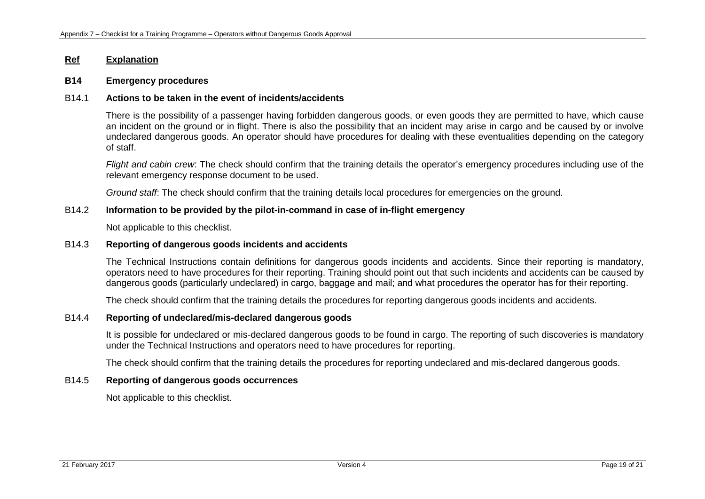### **B14 Emergency procedures**

## B14.1 **Actions to be taken in the event of incidents/accidents**

There is the possibility of a passenger having forbidden dangerous goods, or even goods they are permitted to have, which cause an incident on the ground or in flight. There is also the possibility that an incident may arise in cargo and be caused by or involve undeclared dangerous goods. An operator should have procedures for dealing with these eventualities depending on the category of staff.

*Flight and cabin crew*: The check should confirm that the training details the operator's emergency procedures including use of the relevant emergency response document to be used.

*Ground staff*: The check should confirm that the training details local procedures for emergencies on the ground.

## B14.2 **Information to be provided by the pilot-in-command in case of in-flight emergency**

Not applicable to this checklist.

# B14.3 **Reporting of dangerous goods incidents and accidents**

The Technical Instructions contain definitions for dangerous goods incidents and accidents. Since their reporting is mandatory, operators need to have procedures for their reporting. Training should point out that such incidents and accidents can be caused by dangerous goods (particularly undeclared) in cargo, baggage and mail; and what procedures the operator has for their reporting.

The check should confirm that the training details the procedures for reporting dangerous goods incidents and accidents.

### B14.4 **Reporting of undeclared/mis-declared dangerous goods**

It is possible for undeclared or mis-declared dangerous goods to be found in cargo. The reporting of such discoveries is mandatory under the Technical Instructions and operators need to have procedures for reporting.

The check should confirm that the training details the procedures for reporting undeclared and mis-declared dangerous goods.

## B14.5 **Reporting of dangerous goods occurrences**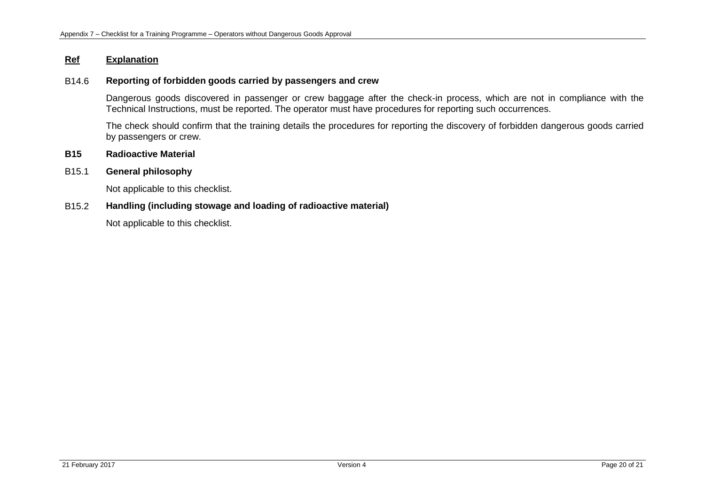# B14.6 **Reporting of forbidden goods carried by passengers and crew**

Dangerous goods discovered in passenger or crew baggage after the check-in process, which are not in compliance with the Technical Instructions, must be reported. The operator must have procedures for reporting such occurrences.

The check should confirm that the training details the procedures for reporting the discovery of forbidden dangerous goods carried by passengers or crew.

# **B15 Radioactive Material**

## B15.1 **General philosophy**

Not applicable to this checklist.

# B15.2 **Handling (including stowage and loading of radioactive material)**